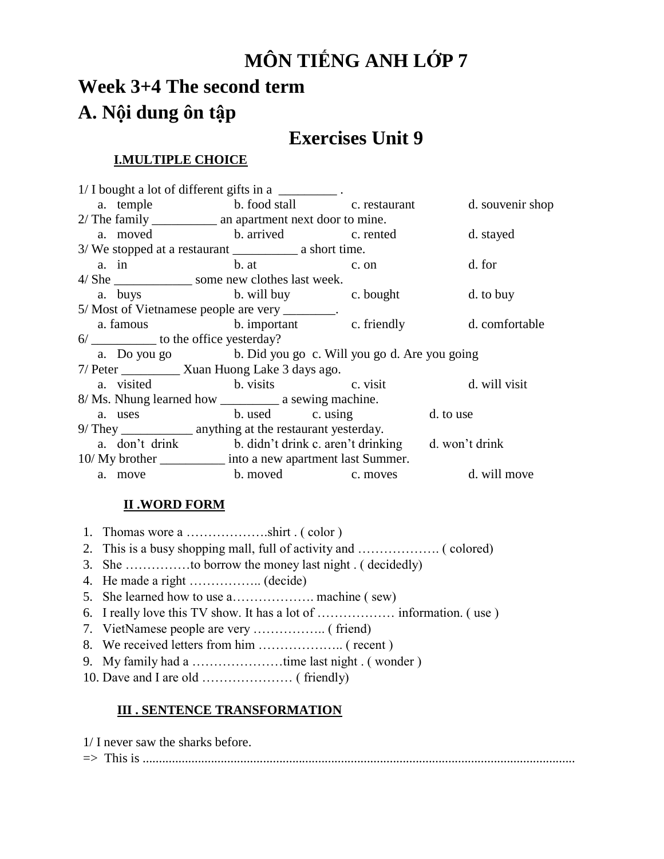# **MÔN TIẾNG ANH LỚP 7**

# **Week 3+4 The second term A. Nội dung ôn tập**

# **Exercises Unit 9**

### **I.MULTIPLE CHOICE**

| $1/\text{I bought a lot of different girls in a _______.$ .    |                                                                  |  |  |                                                        |  |  |
|----------------------------------------------------------------|------------------------------------------------------------------|--|--|--------------------------------------------------------|--|--|
|                                                                |                                                                  |  |  | a. temple b. food stall c. restaurant d. souvenir shop |  |  |
|                                                                |                                                                  |  |  |                                                        |  |  |
|                                                                | a. moved b. arrived c. rented                                    |  |  | d. stayed                                              |  |  |
|                                                                |                                                                  |  |  |                                                        |  |  |
|                                                                | a. in b. at c. on                                                |  |  | d. for                                                 |  |  |
|                                                                | 4/ She _______________ some new clothes last week.               |  |  |                                                        |  |  |
|                                                                | a. buys b. will buy c. bought                                    |  |  | d. to buy                                              |  |  |
| 5/ Most of Vietnamese people are very ________.                |                                                                  |  |  |                                                        |  |  |
|                                                                |                                                                  |  |  | a. famous b. important c. friendly d. comfortable      |  |  |
| 6/_____________ to the office yesterday?                       |                                                                  |  |  |                                                        |  |  |
| a. Do you go b. Did you go c. Will you go d. Are you going     |                                                                  |  |  |                                                        |  |  |
| 7/ Peter ____________ Xuan Huong Lake 3 days ago.              |                                                                  |  |  |                                                        |  |  |
|                                                                | a. visited b. visits c. visit d. will visit                      |  |  |                                                        |  |  |
|                                                                |                                                                  |  |  |                                                        |  |  |
|                                                                | a. uses b. used c. using d. to use                               |  |  |                                                        |  |  |
| 9/ They ______________ anything at the restaurant yesterday.   |                                                                  |  |  |                                                        |  |  |
|                                                                | a. don't drink b. didn't drink c. aren't drinking d. won't drink |  |  |                                                        |  |  |
| 10/ My brother _____________ into a new apartment last Summer. |                                                                  |  |  |                                                        |  |  |
|                                                                | a. move                                                          |  |  | b. moved c. moves d. will move                         |  |  |

### **II .WORD FORM**

#### **III . SENTENCE TRANSFORMATION**

| 1/ I never saw the sharks before. |  |
|-----------------------------------|--|
|                                   |  |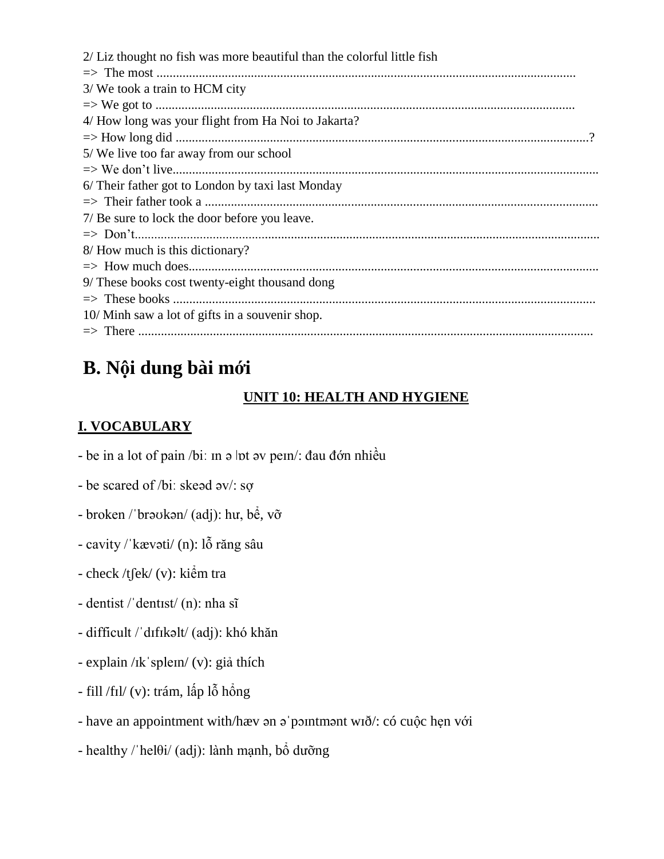| 2/ Liz thought no fish was more beautiful than the colorful little fish |
|-------------------------------------------------------------------------|
|                                                                         |
| 3/ We took a train to HCM city                                          |
|                                                                         |
| 4/ How long was your flight from Ha Noi to Jakarta?                     |
|                                                                         |
| 5/ We live too far away from our school                                 |
|                                                                         |
| 6/ Their father got to London by taxi last Monday                       |
|                                                                         |
| 7/ Be sure to lock the door before you leave.                           |
|                                                                         |
| 8/ How much is this dictionary?                                         |
|                                                                         |
| 9/ These books cost twenty-eight thousand dong                          |
|                                                                         |
| 10/ Minh saw a lot of gifts in a souvenir shop.                         |
|                                                                         |

## **B. Nội dung bài mới**

### **UNIT 10: HEALTH AND HYGIENE**

## **I. VOCABULARY**

- be in a lot of pain /biː m ə  $\vert$ ot əv peɪn/: đau đớn nhiều
- be scared of /biː skeəd ǝv/: sợ
- broken /ˈbrəʊkən/ (adj): hư, bể, vỡ
- cavity /ˈkævəti/ (n): lỗ răng sâu
- check /tʃek/ (v): kiểm tra
- dentist /ˈdentɪst/ (n): nha sĩ
- difficult /ˈdɪfɪkəlt/ (adj): khó khăn
- explain /ɪkˈspleɪn/ (v): giả thích
- fill /fɪl/ (v): trám, lấp lỗ hổng
- have an appointment with/hæv ən əˈpɔɪntmənt wɪð/: có cuộc hẹn với
- healthy /ˈhelθi/ (adj): lành mạnh, bổ dưỡng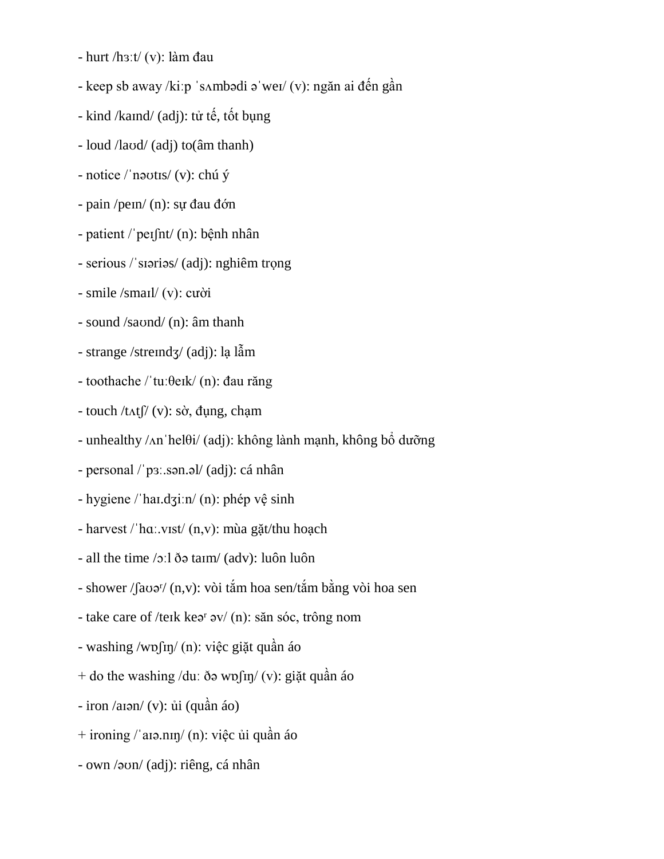- hurt /hɜːt/ (v): làm đau

- keep sb away /kiːp ˈsʌmbədi əˈweɪ/ (v): ngăn ai đến gần
- kind /kaɪnd/ (adj): tử tế, tốt bụng
- loud /laʊd/ (adj) to(âm thanh)
- notice /ˈnəʊtɪs/ (v): chú ý
- pain /peɪn/ (n): sự đau đớn
- patient /ˈpeɪʃnt/ (n): bệnh nhân
- serious /ˈsɪəriəs/ (adj): nghiêm trọng
- smile /smaɪl/ (v): cười
- sound /saʊnd/ (n): âm thanh
- strange /streɪndʒ/ (adj): lạ lẫm
- toothache /ˈtuːθeɪk/ (n): đau răng
- $-$  touch /t $\Lambda$ t $\int$  (v): sờ, đụng, chạm
- unhealthy /ʌnˈhelθi/ (adj): không lành mạnh, không bổ dưỡng
- personal /ˈpɜː.sən.əl/ (adj): cá nhân
- hygiene /ˈhaɪ.dʒiːn/ (n): phép vệ sinh
- harvest /ˈhɑː.vɪst/ (n,v): mùa gặt/thu hoạch
- all the time /ɔːl ðə taɪm/ (adv): luôn luôn
- shower / $\int a\omega e^{r}$ / (n,v): vòi tắm hoa sen/tắm bằng vòi hoa sen
- take care of /teɪk keər əv/ (n): săn sóc, trông nom
- washing /wɒʃɪŋ/ (n): việc giặt quần áo
- + do the washing /duː ðə wɒ $\int$ n/ (v): giặt quần áo
- $-$  iron /aɪən/ (v): ủi (quần áo)
- + ironing /ˈaɪə.nɪŋ/ (n): việc ủi quần áo
- own /əʊn/ (adj): riêng, cá nhân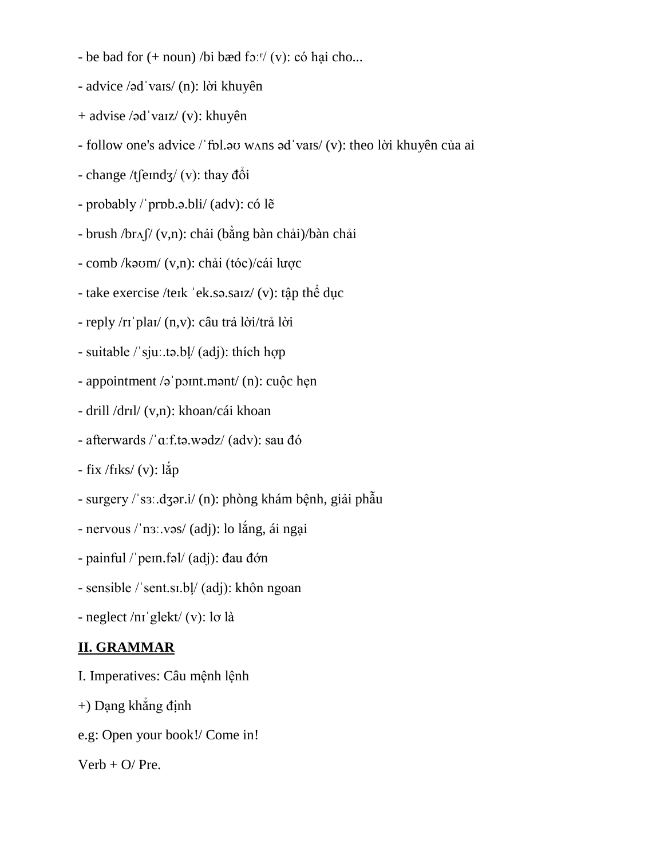- be bad for  $(+$  noun) /bi bæd fɔːr/  $(v)$ : có hại cho...
- advice /ədˈvaɪs/ (n): lời khuyên
- + advise /ədˈvaɪz/ (v): khuyên
- follow one's advice /ˈfɒl.əʊ wʌns ədˈvaɪs/ (v): theo lời khuyên của ai
- change /t $\frac{\text{fend}}{3}$  (v): thay  $\frac{d\delta i}{d\delta}$
- probably /ˈprɒb.ə.bli/ (adv): có lẽ
- brush /brʌʃ/ (v,n): chải (bằng bàn chải)/bàn chải
- comb /kəʊm/ (v,n): chải (tóc)/cái lược
- take exercise /teɪk ˈek.sə.saɪz/ (v): tập thể dục
- reply /rɪˈplaɪ/ (n,v): câu trả lời/trả lời
- suitable /ˈsjuː.tə.bļ/ (adj): thích hợp
- appointment /əˈpɔɪnt.mənt/ (n): cuộc hẹn
- drill /drɪl/ (v,n): khoan/cái khoan
- afterwards /ˈɑːf.tə.wədz/ (adv): sau đó
- $-$  fix /fiks/ (v): lắp
- surgery /ˈsɜː.dʒər.i/ (n): phòng khám bệnh, giải phẫu
- nervous /ˈnɜː.vəs/ (adj): lo lắng, ái ngại
- painful /ˈpeɪn.fəl/ (adj): đau đớn
- sensible /ˈsent.sɪ.bļ/ (adj): khôn ngoan
- neglect /nɪˈglekt/ (v): lơ là

### **II. GRAMMAR**

- I. Imperatives: Câu mệnh lệnh
- +) Dạng khẳng định
- e.g: Open your book!/ Come in!

#### $Verb + O/ Pre.$